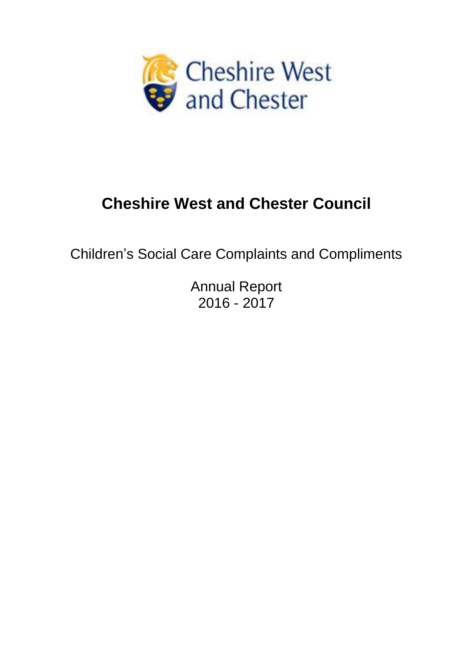

# **Cheshire West and Chester Council**

Children's Social Care Complaints and Compliments

Annual Report 2016 - 2017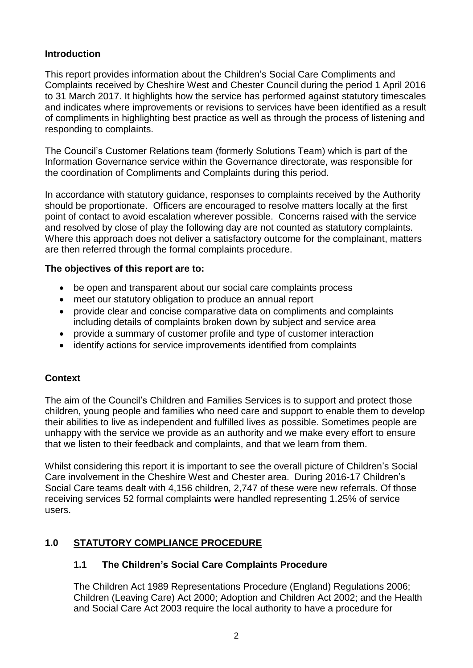# **Introduction**

This report provides information about the Children's Social Care Compliments and Complaints received by Cheshire West and Chester Council during the period 1 April 2016 to 31 March 2017. It highlights how the service has performed against statutory timescales and indicates where improvements or revisions to services have been identified as a result of compliments in highlighting best practice as well as through the process of listening and responding to complaints.

The Council's Customer Relations team (formerly Solutions Team) which is part of the Information Governance service within the Governance directorate, was responsible for the coordination of Compliments and Complaints during this period.

In accordance with statutory guidance, responses to complaints received by the Authority should be proportionate. Officers are encouraged to resolve matters locally at the first point of contact to avoid escalation wherever possible. Concerns raised with the service and resolved by close of play the following day are not counted as statutory complaints. Where this approach does not deliver a satisfactory outcome for the complainant, matters are then referred through the formal complaints procedure.

## **The objectives of this report are to:**

- be open and transparent about our social care complaints process
- meet our statutory obligation to produce an annual report
- provide clear and concise comparative data on compliments and complaints including details of complaints broken down by subject and service area
- provide a summary of customer profile and type of customer interaction
- identify actions for service improvements identified from complaints

## **Context**

The aim of the Council's Children and Families Services is to support and protect those children, young people and families who need care and support to enable them to develop their abilities to live as independent and fulfilled lives as possible. Sometimes people are unhappy with the service we provide as an authority and we make every effort to ensure that we listen to their feedback and complaints, and that we learn from them.

Whilst considering this report it is important to see the overall picture of Children's Social Care involvement in the Cheshire West and Chester area. During 2016-17 Children's Social Care teams dealt with 4,156 children, 2,747 of these were new referrals. Of those receiving services 52 formal complaints were handled representing 1.25% of service users.

## **1.0 STATUTORY COMPLIANCE PROCEDURE**

## **1.1 The Children's Social Care Complaints Procedure**

The Children Act 1989 Representations Procedure (England) Regulations 2006; Children (Leaving Care) Act 2000; Adoption and Children Act 2002; and the Health and Social Care Act 2003 require the local authority to have a procedure for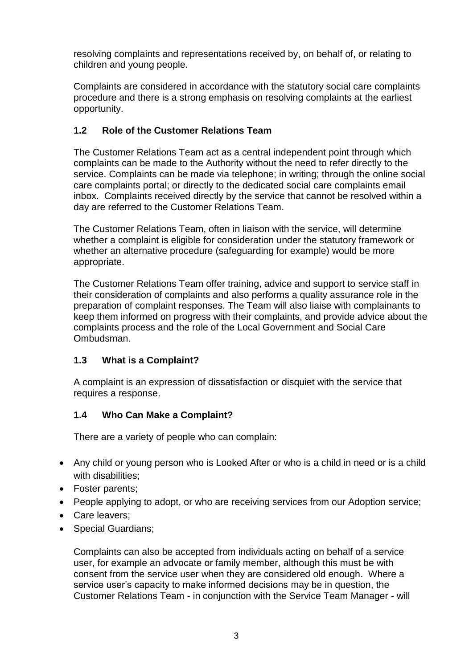resolving complaints and representations received by, on behalf of, or relating to children and young people.

Complaints are considered in accordance with the statutory social care complaints procedure and there is a strong emphasis on resolving complaints at the earliest opportunity.

# **1.2 Role of the Customer Relations Team**

The Customer Relations Team act as a central independent point through which complaints can be made to the Authority without the need to refer directly to the service. Complaints can be made via telephone; in writing; through the online social care complaints portal; or directly to the dedicated social care complaints email inbox. Complaints received directly by the service that cannot be resolved within a day are referred to the Customer Relations Team.

The Customer Relations Team, often in liaison with the service, will determine whether a complaint is eligible for consideration under the statutory framework or whether an alternative procedure (safeguarding for example) would be more appropriate.

The Customer Relations Team offer training, advice and support to service staff in their consideration of complaints and also performs a quality assurance role in the preparation of complaint responses. The Team will also liaise with complainants to keep them informed on progress with their complaints, and provide advice about the complaints process and the role of the Local Government and Social Care Ombudsman.

# **1.3 What is a Complaint?**

A complaint is an expression of dissatisfaction or disquiet with the service that requires a response.

## **1.4 Who Can Make a Complaint?**

There are a variety of people who can complain:

- Any child or young person who is Looked After or who is a child in need or is a child with disabilities:
- Foster parents:
- People applying to adopt, or who are receiving services from our Adoption service;
- Care leavers;
- Special Guardians;

Complaints can also be accepted from individuals acting on behalf of a service user, for example an advocate or family member, although this must be with consent from the service user when they are considered old enough. Where a service user's capacity to make informed decisions may be in question, the Customer Relations Team - in conjunction with the Service Team Manager - will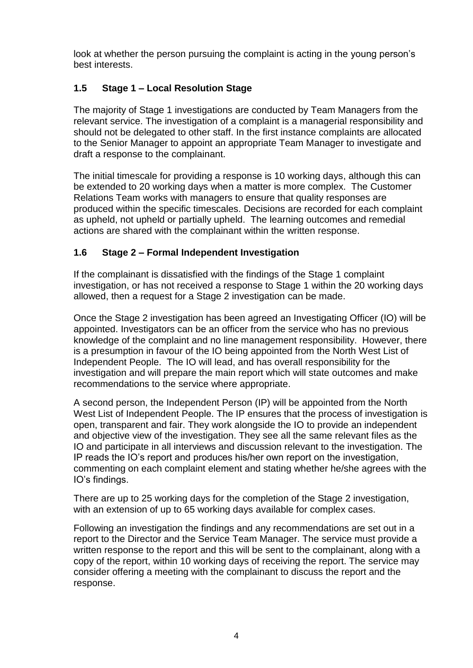look at whether the person pursuing the complaint is acting in the young person's best interests.

# **1.5 Stage 1 – Local Resolution Stage**

The majority of Stage 1 investigations are conducted by Team Managers from the relevant service. The investigation of a complaint is a managerial responsibility and should not be delegated to other staff. In the first instance complaints are allocated to the Senior Manager to appoint an appropriate Team Manager to investigate and draft a response to the complainant.

The initial timescale for providing a response is 10 working days, although this can be extended to 20 working days when a matter is more complex. The Customer Relations Team works with managers to ensure that quality responses are produced within the specific timescales. Decisions are recorded for each complaint as upheld, not upheld or partially upheld. The learning outcomes and remedial actions are shared with the complainant within the written response.

# **1.6 Stage 2 – Formal Independent Investigation**

If the complainant is dissatisfied with the findings of the Stage 1 complaint investigation, or has not received a response to Stage 1 within the 20 working days allowed, then a request for a Stage 2 investigation can be made.

Once the Stage 2 investigation has been agreed an Investigating Officer (IO) will be appointed. Investigators can be an officer from the service who has no previous knowledge of the complaint and no line management responsibility. However, there is a presumption in favour of the IO being appointed from the North West List of Independent People. The IO will lead, and has overall responsibility for the investigation and will prepare the main report which will state outcomes and make recommendations to the service where appropriate.

A second person, the Independent Person (IP) will be appointed from the North West List of Independent People. The IP ensures that the process of investigation is open, transparent and fair. They work alongside the IO to provide an independent and objective view of the investigation. They see all the same relevant files as the IO and participate in all interviews and discussion relevant to the investigation. The IP reads the IO's report and produces his/her own report on the investigation, commenting on each complaint element and stating whether he/she agrees with the IO's findings.

There are up to 25 working days for the completion of the Stage 2 investigation, with an extension of up to 65 working days available for complex cases.

Following an investigation the findings and any recommendations are set out in a report to the Director and the Service Team Manager. The service must provide a written response to the report and this will be sent to the complainant, along with a copy of the report, within 10 working days of receiving the report. The service may consider offering a meeting with the complainant to discuss the report and the response.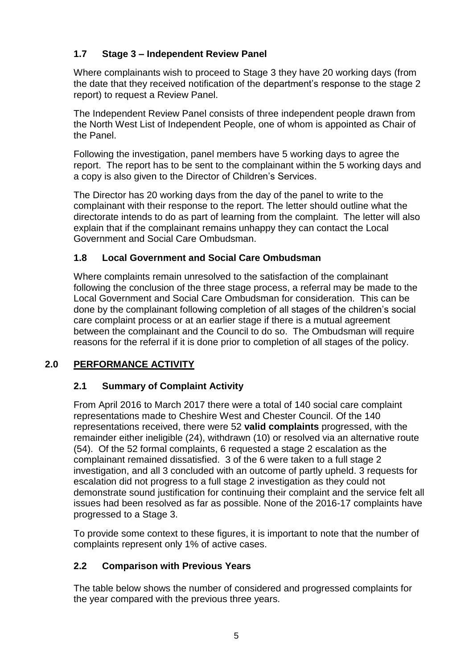# **1.7 Stage 3 – Independent Review Panel**

Where complainants wish to proceed to Stage 3 they have 20 working days (from the date that they received notification of the department's response to the stage 2 report) to request a Review Panel.

The Independent Review Panel consists of three independent people drawn from the North West List of Independent People, one of whom is appointed as Chair of the Panel.

Following the investigation, panel members have 5 working days to agree the report. The report has to be sent to the complainant within the 5 working days and a copy is also given to the Director of Children's Services.

The Director has 20 working days from the day of the panel to write to the complainant with their response to the report. The letter should outline what the directorate intends to do as part of learning from the complaint. The letter will also explain that if the complainant remains unhappy they can contact the Local Government and Social Care Ombudsman.

# **1.8 Local Government and Social Care Ombudsman**

Where complaints remain unresolved to the satisfaction of the complainant following the conclusion of the three stage process, a referral may be made to the Local Government and Social Care Ombudsman for consideration. This can be done by the complainant following completion of all stages of the children's social care complaint process or at an earlier stage if there is a mutual agreement between the complainant and the Council to do so. The Ombudsman will require reasons for the referral if it is done prior to completion of all stages of the policy.

# **2.0 PERFORMANCE ACTIVITY**

# **2.1 Summary of Complaint Activity**

From April 2016 to March 2017 there were a total of 140 social care complaint representations made to Cheshire West and Chester Council. Of the 140 representations received, there were 52 **valid complaints** progressed, with the remainder either ineligible (24), withdrawn (10) or resolved via an alternative route (54). Of the 52 formal complaints, 6 requested a stage 2 escalation as the complainant remained dissatisfied. 3 of the 6 were taken to a full stage 2 investigation, and all 3 concluded with an outcome of partly upheld. 3 requests for escalation did not progress to a full stage 2 investigation as they could not demonstrate sound justification for continuing their complaint and the service felt all issues had been resolved as far as possible. None of the 2016-17 complaints have progressed to a Stage 3.

To provide some context to these figures, it is important to note that the number of complaints represent only 1% of active cases.

# **2.2 Comparison with Previous Years**

The table below shows the number of considered and progressed complaints for the year compared with the previous three years.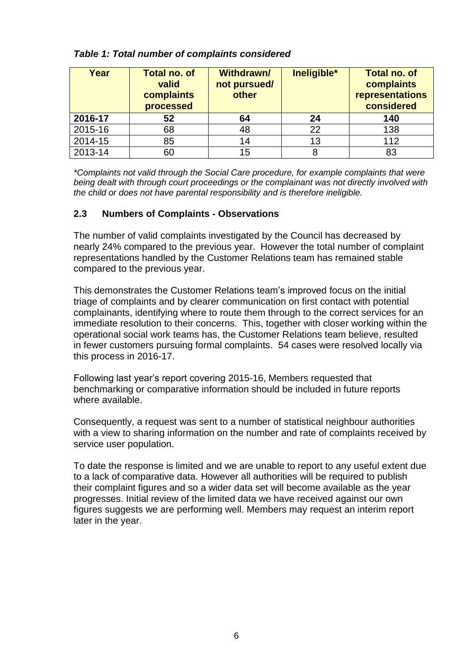| Year    | <b>Total no. of</b><br>valid<br>complaints<br>processed | <b>Withdrawn/</b><br>not pursued/<br>other | Ineligible* | <b>Total no. of</b><br>complaints<br>representations<br>considered |
|---------|---------------------------------------------------------|--------------------------------------------|-------------|--------------------------------------------------------------------|
| 2016-17 | 52                                                      | 64                                         | 24          | 140                                                                |
| 2015-16 | 68                                                      | 48                                         | 22          | 138                                                                |
| 2014-15 | 85                                                      | 14                                         | 13          | 112                                                                |
| 2013-14 | 60                                                      | 15                                         |             | 83                                                                 |

#### *Table 1: Total number of complaints considered*

*\*Complaints not valid through the Social Care procedure, for example complaints that were being dealt with through court proceedings or the complainant was not directly involved with the child or does not have parental responsibility and is therefore ineligible.*

## **2.3 Numbers of Complaints - Observations**

The number of valid complaints investigated by the Council has decreased by nearly 24% compared to the previous year. However the total number of complaint representations handled by the Customer Relations team has remained stable compared to the previous year.

This demonstrates the Customer Relations team's improved focus on the initial triage of complaints and by clearer communication on first contact with potential complainants, identifying where to route them through to the correct services for an immediate resolution to their concerns. This, together with closer working within the operational social work teams has, the Customer Relations team believe, resulted in fewer customers pursuing formal complaints. 54 cases were resolved locally via this process in 2016-17.

Following last year's report covering 2015-16, Members requested that benchmarking or comparative information should be included in future reports where available.

Consequently, a request was sent to a number of statistical neighbour authorities with a view to sharing information on the number and rate of complaints received by service user population.

To date the response is limited and we are unable to report to any useful extent due to a lack of comparative data. However all authorities will be required to publish their complaint figures and so a wider data set will become available as the year progresses. Initial review of the limited data we have received against our own figures suggests we are performing well. Members may request an interim report later in the year.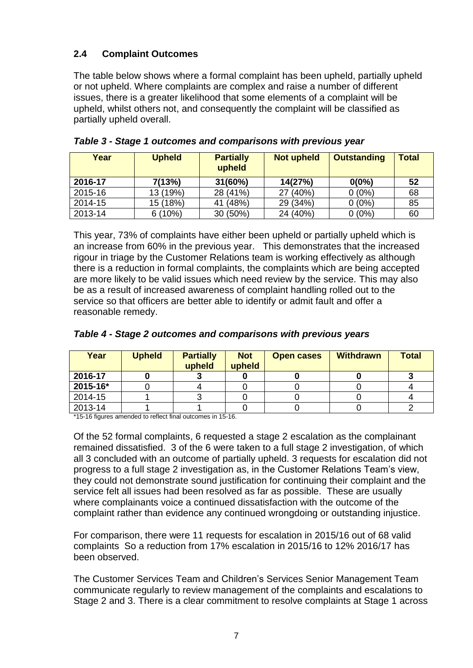# **2.4 Complaint Outcomes**

The table below shows where a formal complaint has been upheld, partially upheld or not upheld. Where complaints are complex and raise a number of different issues, there is a greater likelihood that some elements of a complaint will be upheld, whilst others not, and consequently the complaint will be classified as partially upheld overall.

| Year    | <b>Upheld</b> | <b>Partially</b><br>upheld | <b>Not upheld</b> | <b>Outstanding</b> | <b>Total</b> |
|---------|---------------|----------------------------|-------------------|--------------------|--------------|
| 2016-17 | 7(13%)        | 31(60%)                    | 14(27%)           | $0(0\%)$           | 52           |
| 2015-16 | 13 (19%)      | 28 (41%)                   | 27 (40%)          | $0(0\%)$           | 68           |
| 2014-15 | 15 (18%)      | (48%)<br>41                | 29 (34%)          | $0(0\%)$           | 85           |
| 2013-14 | 6(10%)        | 30 (50%)                   | 24 (40%)          | $0(0\%)$           | 60           |

*Table 3 - Stage 1 outcomes and comparisons with previous year*

This year, 73% of complaints have either been upheld or partially upheld which is an increase from 60% in the previous year. This demonstrates that the increased rigour in triage by the Customer Relations team is working effectively as although there is a reduction in formal complaints, the complaints which are being accepted are more likely to be valid issues which need review by the service. This may also be as a result of increased awareness of complaint handling rolled out to the service so that officers are better able to identify or admit fault and offer a reasonable remedy.

| Year     | <b>Upheld</b> | <b>Partially</b><br>upheld | <b>Not</b><br>upheld | <b>Open cases</b> | <b>Withdrawn</b> | <b>Total</b> |
|----------|---------------|----------------------------|----------------------|-------------------|------------------|--------------|
| 2016-17  |               |                            |                      |                   |                  |              |
| 2015-16* |               |                            |                      |                   |                  |              |
| 2014-15  |               |                            |                      |                   |                  |              |
| 2013-14  |               |                            |                      |                   |                  |              |

#### *Table 4 - Stage 2 outcomes and comparisons with previous years*

\*15-16 figures amended to reflect final outcomes in 15-16.

Of the 52 formal complaints, 6 requested a stage 2 escalation as the complainant remained dissatisfied. 3 of the 6 were taken to a full stage 2 investigation, of which all 3 concluded with an outcome of partially upheld. 3 requests for escalation did not progress to a full stage 2 investigation as, in the Customer Relations Team's view, they could not demonstrate sound justification for continuing their complaint and the service felt all issues had been resolved as far as possible. These are usually where complainants voice a continued dissatisfaction with the outcome of the complaint rather than evidence any continued wrongdoing or outstanding injustice.

For comparison, there were 11 requests for escalation in 2015/16 out of 68 valid complaints So a reduction from 17% escalation in 2015/16 to 12% 2016/17 has been observed.

The Customer Services Team and Children's Services Senior Management Team communicate regularly to review management of the complaints and escalations to Stage 2 and 3. There is a clear commitment to resolve complaints at Stage 1 across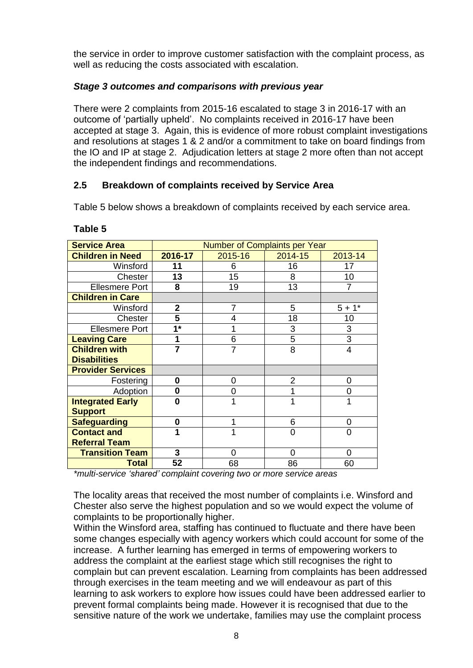the service in order to improve customer satisfaction with the complaint process, as well as reducing the costs associated with escalation.

# *Stage 3 outcomes and comparisons with previous year*

There were 2 complaints from 2015-16 escalated to stage 3 in 2016-17 with an outcome of 'partially upheld'. No complaints received in 2016-17 have been accepted at stage 3. Again, this is evidence of more robust complaint investigations and resolutions at stages 1 & 2 and/or a commitment to take on board findings from the IO and IP at stage 2. Adjudication letters at stage 2 more often than not accept the independent findings and recommendations.

# **2.5 Breakdown of complaints received by Service Area**

Table 5 below shows a breakdown of complaints received by each service area.

| <b>Service Area</b>      | <b>Number of Complaints per Year</b> |                |         |                |  |  |
|--------------------------|--------------------------------------|----------------|---------|----------------|--|--|
| <b>Children in Need</b>  | 2016-17                              | 2015-16        | 2014-15 | 2013-14        |  |  |
| Winsford                 | 11                                   | 6              | 16      | 17             |  |  |
| Chester                  | 13                                   | 15             | 8       | 10             |  |  |
| <b>Ellesmere Port</b>    | 8                                    | 19             | 13      | 7              |  |  |
| <b>Children in Care</b>  |                                      |                |         |                |  |  |
| Winsford                 | $\overline{2}$                       | $\overline{7}$ | 5       | $5 + 1*$       |  |  |
| Chester                  | 5                                    | 4              | 18      | 10             |  |  |
| <b>Ellesmere Port</b>    | $1^*$                                | 1              | 3       | 3              |  |  |
| <b>Leaving Care</b>      | 1                                    | 6              | 5       | $\overline{3}$ |  |  |
| <b>Children with</b>     | $\overline{7}$                       | $\overline{7}$ | 8       | 4              |  |  |
| <b>Disabilities</b>      |                                      |                |         |                |  |  |
| <b>Provider Services</b> |                                      |                |         |                |  |  |
| Fostering                | 0                                    | 0              | 2       | 0              |  |  |
| Adoption                 | 0                                    | 0              | 1       | 0              |  |  |
| <b>Integrated Early</b>  | 0                                    | 1              | 1       | 1              |  |  |
| <b>Support</b>           |                                      |                |         |                |  |  |
| <b>Safeguarding</b>      | 0                                    | 1              | 6       | 0              |  |  |
| <b>Contact and</b>       | 1                                    | 1              | 0       | $\Omega$       |  |  |
| <b>Referral Team</b>     |                                      |                |         |                |  |  |
| <b>Transition Team</b>   | 3                                    | 0              | 0       | 0              |  |  |
| <b>Total</b>             | 52                                   | 68             | 86      | 60             |  |  |

#### **Table 5**

*\*multi-service 'shared' complaint covering two or more service areas*

The locality areas that received the most number of complaints i.e. Winsford and Chester also serve the highest population and so we would expect the volume of complaints to be proportionally higher.

Within the Winsford area, staffing has continued to fluctuate and there have been some changes especially with agency workers which could account for some of the increase. A further learning has emerged in terms of empowering workers to address the complaint at the earliest stage which still recognises the right to complain but can prevent escalation. Learning from complaints has been addressed through exercises in the team meeting and we will endeavour as part of this learning to ask workers to explore how issues could have been addressed earlier to prevent formal complaints being made. However it is recognised that due to the sensitive nature of the work we undertake, families may use the complaint process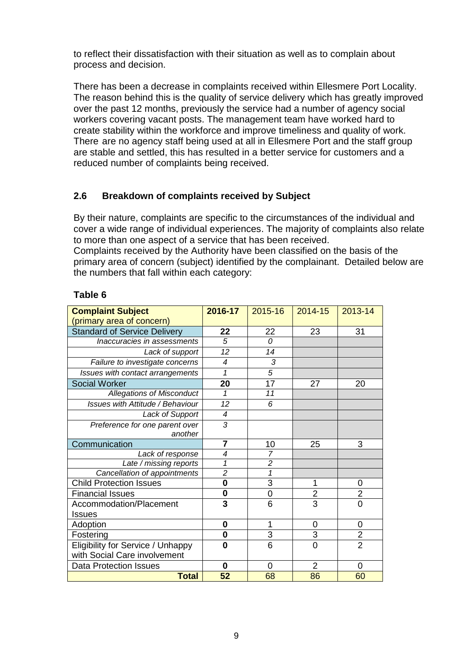to reflect their dissatisfaction with their situation as well as to complain about process and decision.

There has been a decrease in complaints received within Ellesmere Port Locality. The reason behind this is the quality of service delivery which has greatly improved over the past 12 months, previously the service had a number of agency social workers covering vacant posts. The management team have worked hard to create stability within the workforce and improve timeliness and quality of work. There are no agency staff being used at all in Ellesmere Port and the staff group are stable and settled, this has resulted in a better service for customers and a reduced number of complaints being received.

## **2.6 Breakdown of complaints received by Subject**

By their nature, complaints are specific to the circumstances of the individual and cover a wide range of individual experiences. The majority of complaints also relate to more than one aspect of a service that has been received.

Complaints received by the Authority have been classified on the basis of the primary area of concern (subject) identified by the complainant. Detailed below are the numbers that fall within each category:

## **Table 6**

| <b>Complaint Subject</b>            | 2016-17        | 2015-16                 | 2014-15        | 2013-14        |
|-------------------------------------|----------------|-------------------------|----------------|----------------|
| (primary area of concern)           |                |                         |                |                |
| <b>Standard of Service Delivery</b> | 22             | 22                      | 23             | 31             |
| Inaccuracies in assessments         | 5              | 0                       |                |                |
| Lack of support                     | 12             | 14                      |                |                |
| Failure to investigate concerns     | 4              | 3                       |                |                |
| Issues with contact arrangements    | 1              | 5                       |                |                |
| <b>Social Worker</b>                | 20             | 17                      | 27             | 20             |
| <b>Allegations of Misconduct</b>    | 1              | 11                      |                |                |
| Issues with Attitude / Behaviour    | 12             | 6                       |                |                |
| Lack of Support                     | $\overline{4}$ |                         |                |                |
| Preference for one parent over      | 3              |                         |                |                |
| another                             |                |                         |                |                |
| Communication                       | $\overline{7}$ | 10                      | 25             | 3              |
| Lack of response                    | 4              | 7                       |                |                |
| Late / missing reports              | 1              | $\overline{c}$          |                |                |
| Cancellation of appointments        | $\overline{c}$ | $\overline{\mathbf{1}}$ |                |                |
| <b>Child Protection Issues</b>      | $\bf{0}$       | 3                       | 1              | 0              |
| <b>Financial Issues</b>             | $\bf{0}$       | 0                       | $\overline{c}$ | $\overline{2}$ |
| Accommodation/Placement             | 3              | 6                       | $\overline{3}$ | 0              |
| <b>Issues</b>                       |                |                         |                |                |
| Adoption                            | $\bf{0}$       | 1                       | $\overline{0}$ | 0              |
| Fostering                           | $\bf{0}$       | 3                       | 3              | $\overline{2}$ |
| Eligibility for Service / Unhappy   | 0              | 6                       | $\overline{0}$ | $\overline{2}$ |
| with Social Care involvement        |                |                         |                |                |
| <b>Data Protection Issues</b>       | 0              | 0                       | $\overline{2}$ | 0              |
| <b>Total</b>                        | 52             | 68                      | 86             | 60             |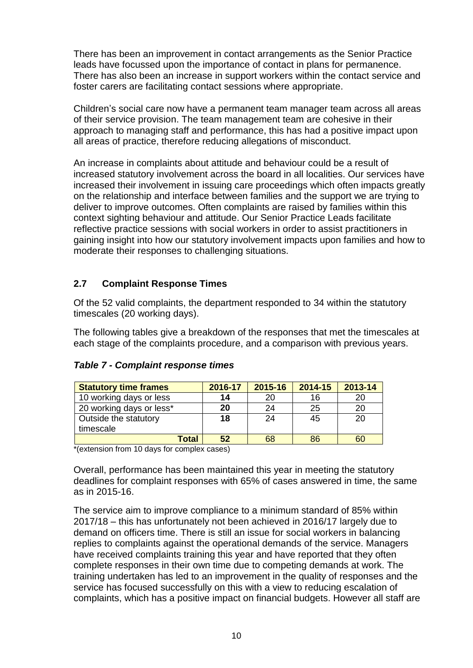There has been an improvement in contact arrangements as the Senior Practice leads have focussed upon the importance of contact in plans for permanence. There has also been an increase in support workers within the contact service and foster carers are facilitating contact sessions where appropriate.

Children's social care now have a permanent team manager team across all areas of their service provision. The team management team are cohesive in their approach to managing staff and performance, this has had a positive impact upon all areas of practice, therefore reducing allegations of misconduct.

An increase in complaints about attitude and behaviour could be a result of increased statutory involvement across the board in all localities. Our services have increased their involvement in issuing care proceedings which often impacts greatly on the relationship and interface between families and the support we are trying to deliver to improve outcomes. Often complaints are raised by families within this context sighting behaviour and attitude. Our Senior Practice Leads facilitate reflective practice sessions with social workers in order to assist practitioners in gaining insight into how our statutory involvement impacts upon families and how to moderate their responses to challenging situations.

## **2.7 Complaint Response Times**

Of the 52 valid complaints, the department responded to 34 within the statutory timescales (20 working days).

The following tables give a breakdown of the responses that met the timescales at each stage of the complaints procedure, and a comparison with previous years.

| <b>Statutory time frames</b> | 2016-17 | 2015-16 | 2014-15 | 2013-14 |
|------------------------------|---------|---------|---------|---------|
| 10 working days or less      | 14      | 20      | 16      | 20      |
| 20 working days or less*     | 20      | 24      | 25      | 20      |
| Outside the statutory        | 18      | 24      | 45      | 20      |
| timescale                    |         |         |         |         |
| Total                        | 52      | 68      | 86      | 60      |

#### *Table 7 - Complaint response times*

\*(extension from 10 days for complex cases)

Overall, performance has been maintained this year in meeting the statutory deadlines for complaint responses with 65% of cases answered in time, the same as in 2015-16.

The service aim to improve compliance to a minimum standard of 85% within 2017/18 – this has unfortunately not been achieved in 2016/17 largely due to demand on officers time. There is still an issue for social workers in balancing replies to complaints against the operational demands of the service. Managers have received complaints training this year and have reported that they often complete responses in their own time due to competing demands at work. The training undertaken has led to an improvement in the quality of responses and the service has focused successfully on this with a view to reducing escalation of complaints, which has a positive impact on financial budgets. However all staff are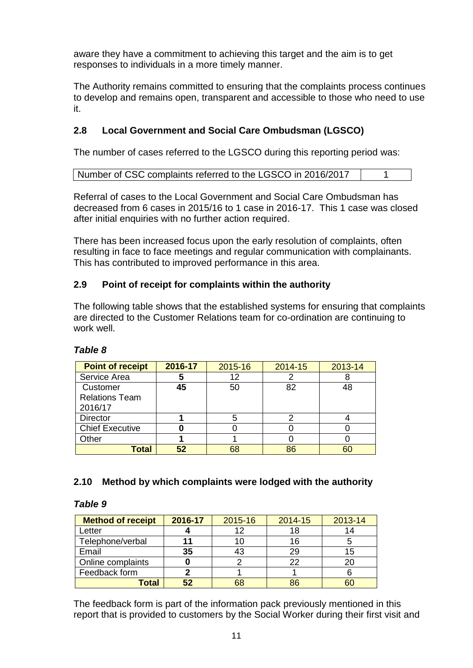aware they have a commitment to achieving this target and the aim is to get responses to individuals in a more timely manner.

The Authority remains committed to ensuring that the complaints process continues to develop and remains open, transparent and accessible to those who need to use it.

# **2.8 Local Government and Social Care Ombudsman (LGSCO)**

The number of cases referred to the LGSCO during this reporting period was:

Referral of cases to the Local Government and Social Care Ombudsman has decreased from 6 cases in 2015/16 to 1 case in 2016-17. This 1 case was closed after initial enquiries with no further action required.

There has been increased focus upon the early resolution of complaints, often resulting in face to face meetings and regular communication with complainants. This has contributed to improved performance in this area.

## **2.9 Point of receipt for complaints within the authority**

The following table shows that the established systems for ensuring that complaints are directed to the Customer Relations team for co-ordination are continuing to work well

| <b>Point of receipt</b> | 2016-17 | 2015-16 | 2014-15 | 2013-14 |
|-------------------------|---------|---------|---------|---------|
| Service Area            | 5       | 12      |         |         |
| Customer                | 45      | 50      | 82      | 48      |
| <b>Relations Team</b>   |         |         |         |         |
| 2016/17                 |         |         |         |         |
| <b>Director</b>         |         | 5       |         |         |
| <b>Chief Executive</b>  | O       |         |         |         |
| Other                   |         |         |         |         |
| Total                   | 52      | 68      | 86      | 60      |

#### *Table 8*

#### **2.10 Method by which complaints were lodged with the authority**

#### *Table 9*

| <b>Method of receipt</b> | 2016-17 | 2015-16 | 2014-15 | 2013-14 |
|--------------------------|---------|---------|---------|---------|
| Letter                   |         |         | 18      | 14      |
| Telephone/verbal         |         | 1 C     | 16      |         |
| Email                    | 35      | 43      | 29      | 15      |
| Online complaints        |         |         | 22      | 20      |
| Feedback form            |         |         |         |         |
| Total                    | 52      | 68      | 86      |         |

The feedback form is part of the information pack previously mentioned in this report that is provided to customers by the Social Worker during their first visit and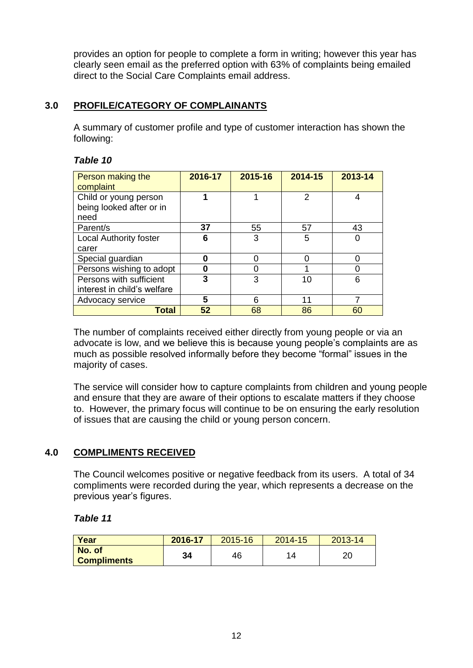provides an option for people to complete a form in writing; however this year has clearly seen email as the preferred option with 63% of complaints being emailed direct to the Social Care Complaints email address.

## **3.0 PROFILE/CATEGORY OF COMPLAINANTS**

A summary of customer profile and type of customer interaction has shown the following:

#### *Table 10*

| Person making the<br>complaint                            | 2016-17 | 2015-16 | 2014-15 | 2013-14 |
|-----------------------------------------------------------|---------|---------|---------|---------|
| Child or young person<br>being looked after or in<br>need |         |         | 2       | 4       |
| Parent/s                                                  | 37      | 55      | 57      | 43      |
| <b>Local Authority foster</b>                             | 6       | 3       | 5       |         |
| carer                                                     |         |         |         |         |
| Special guardian                                          |         | በ       |         |         |
| Persons wishing to adopt                                  | Ω       |         |         |         |
| Persons with sufficient                                   | 3       | 3       | 10      | 6       |
| interest in child's welfare                               |         |         |         |         |
| Advocacy service                                          | 5       | 6       | 11      |         |
| Total                                                     | 52      | 68      | 86      | 60      |

The number of complaints received either directly from young people or via an advocate is low, and we believe this is because young people's complaints are as much as possible resolved informally before they become "formal" issues in the majority of cases.

The service will consider how to capture complaints from children and young people and ensure that they are aware of their options to escalate matters if they choose to. However, the primary focus will continue to be on ensuring the early resolution of issues that are causing the child or young person concern.

## **4.0 COMPLIMENTS RECEIVED**

The Council welcomes positive or negative feedback from its users. A total of 34 compliments were recorded during the year, which represents a decrease on the previous year's figures.

#### *Table 11*

| Year                         | 2016-17 | 2015-16 | 2014-15 | $2013 - 14$ |
|------------------------------|---------|---------|---------|-------------|
| No. of<br><b>Compliments</b> | 34      | 46      |         | ററ<br>∠∪    |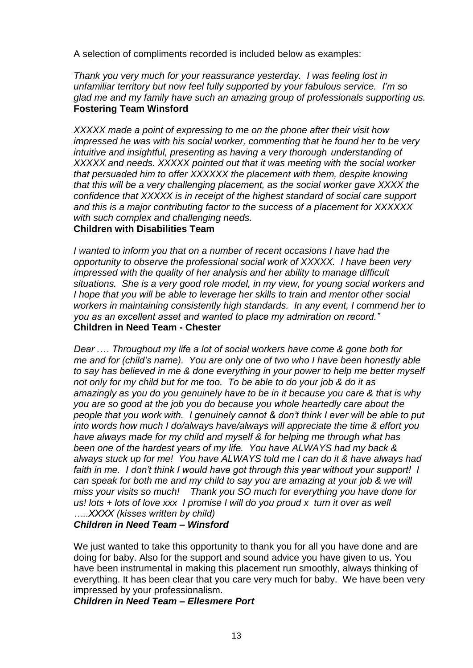A selection of compliments recorded is included below as examples:

*Thank you very much for your reassurance yesterday. I was feeling lost in unfamiliar territory but now feel fully supported by your fabulous service. I'm so glad me and my family have such an amazing group of professionals supporting us.* **Fostering Team Winsford**

*XXXXX made a point of expressing to me on the phone after their visit how impressed he was with his social worker, commenting that he found her to be very intuitive and insightful, presenting as having a very thorough understanding of XXXXX and needs. XXXXX pointed out that it was meeting with the social worker that persuaded him to offer XXXXXX the placement with them, despite knowing that this will be a very challenging placement, as the social worker gave XXXX the confidence that XXXXX is in receipt of the highest standard of social care support and this is a major contributing factor to the success of a placement for XXXXXX with such complex and challenging needs.*

#### **Children with Disabilities Team**

*I wanted to inform you that on a number of recent occasions I have had the opportunity to observe the professional social work of XXXXX. I have been very impressed with the quality of her analysis and her ability to manage difficult situations. She is a very good role model, in my view, for young social workers and I hope that you will be able to leverage her skills to train and mentor other social workers in maintaining consistently high standards. In any event, I commend her to you as an excellent asset and wanted to place my admiration on record."* **Children in Need Team - Chester**

*Dear .… Throughout my life a lot of social workers have come & gone both for me and for (child's name). You are only one of two who I have been honestly able to say has believed in me & done everything in your power to help me better myself not only for my child but for me too. To be able to do your job & do it as amazingly as you do you genuinely have to be in it because you care & that is why you are so good at the job you do because you whole heartedly care about the people that you work with. I genuinely cannot & don't think I ever will be able to put into words how much I do/always have/always will appreciate the time & effort you have always made for my child and myself & for helping me through what has been one of the hardest years of my life. You have ALWAYS had my back & always stuck up for me! You have ALWAYS told me I can do it & have always had faith in me. I don't think I would have got through this year without your support! I can speak for both me and my child to say you are amazing at your job & we will miss your visits so much! Thank you SO much for everything you have done for us! lots + lots of love xxx I promise I will do you proud x turn it over as well …..XXXX (kisses written by child)*

#### *Children in Need Team – Winsford*

We just wanted to take this opportunity to thank you for all you have done and are doing for baby. Also for the support and sound advice you have given to us. You have been instrumental in making this placement run smoothly, always thinking of everything. It has been clear that you care very much for baby. We have been very impressed by your professionalism.

*Children in Need Team – Ellesmere Port*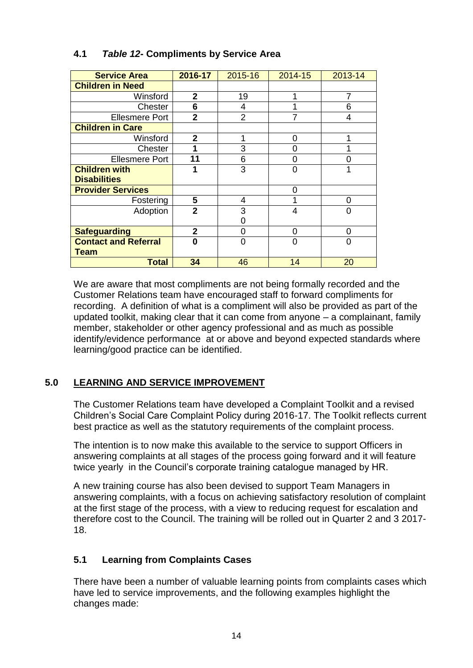| <b>Service Area</b>         | 2016-17        | 2015-16        | 2014-15 | 2013-14 |
|-----------------------------|----------------|----------------|---------|---------|
| <b>Children in Need</b>     |                |                |         |         |
| Winsford                    | $\overline{2}$ | 19             | 1       | 7       |
| Chester                     | 6              | 4              |         | 6       |
| <b>Ellesmere Port</b>       | $\overline{2}$ | $\overline{2}$ | 7       | 4       |
| <b>Children in Care</b>     |                |                |         |         |
| Winsford                    | $\overline{2}$ | 1              | 0       |         |
| Chester                     |                | 3              | 0       |         |
| <b>Ellesmere Port</b>       | 11             | 6              | 0       |         |
| <b>Children with</b>        |                | 3              | 0       |         |
| <b>Disabilities</b>         |                |                |         |         |
| <b>Provider Services</b>    |                |                | 0       |         |
| Fostering                   | 5              | 4              |         | U       |
| Adoption                    | $\overline{2}$ | 3              | 4       | 0       |
|                             |                | 0              |         |         |
| <b>Safeguarding</b>         | 2              | O              | 0       | O       |
| <b>Contact and Referral</b> | 0              | ი              | 0       | ი       |
| <b>Team</b>                 |                |                |         |         |
| <b>Total</b>                | 34             | 46             | 14      | 20      |

# **4.1** *Table 12-* **Compliments by Service Area**

We are aware that most compliments are not being formally recorded and the Customer Relations team have encouraged staff to forward compliments for recording. A definition of what is a compliment will also be provided as part of the updated toolkit, making clear that it can come from anyone – a complainant, family member, stakeholder or other agency professional and as much as possible identify/evidence performance at or above and beyond expected standards where learning/good practice can be identified.

# **5.0 LEARNING AND SERVICE IMPROVEMENT**

The Customer Relations team have developed a Complaint Toolkit and a revised Children's Social Care Complaint Policy during 2016-17. The Toolkit reflects current best practice as well as the statutory requirements of the complaint process.

The intention is to now make this available to the service to support Officers in answering complaints at all stages of the process going forward and it will feature twice yearly in the Council's corporate training catalogue managed by HR.

A new training course has also been devised to support Team Managers in answering complaints, with a focus on achieving satisfactory resolution of complaint at the first stage of the process, with a view to reducing request for escalation and therefore cost to the Council. The training will be rolled out in Quarter 2 and 3 2017- 18.

## **5.1 Learning from Complaints Cases**

There have been a number of valuable learning points from complaints cases which have led to service improvements, and the following examples highlight the changes made: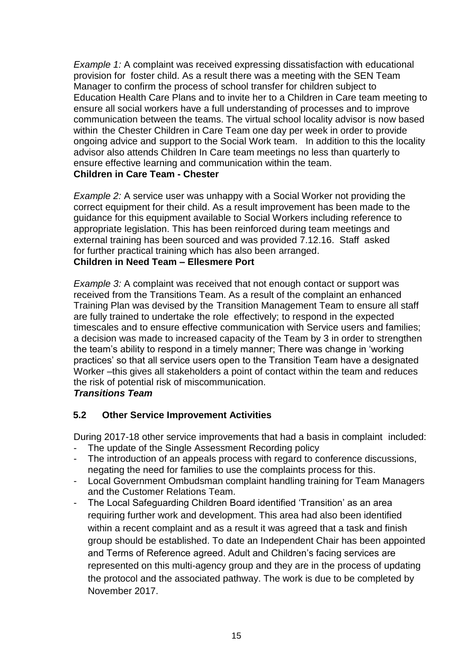*Example 1:* A complaint was received expressing dissatisfaction with educational provision for foster child. As a result there was a meeting with the SEN Team Manager to confirm the process of school transfer for children subject to Education Health Care Plans and to invite her to a Children in Care team meeting to ensure all social workers have a full understanding of processes and to improve communication between the teams. The virtual school locality advisor is now based within the Chester Children in Care Team one day per week in order to provide ongoing advice and support to the Social Work team. In addition to this the locality advisor also attends Children In Care team meetings no less than quarterly to ensure effective learning and communication within the team. **Children in Care Team - Chester**

*Example 2:* A service user was unhappy with a Social Worker not providing the correct equipment for their child. As a result improvement has been made to the guidance for this equipment available to Social Workers including reference to appropriate legislation. This has been reinforced during team meetings and external training has been sourced and was provided 7.12.16. Staff asked for further practical training which has also been arranged. **Children in Need Team – Ellesmere Port**

*Example 3:* A complaint was received that not enough contact or support was received from the Transitions Team. As a result of the complaint an enhanced Training Plan was devised by the Transition Management Team to ensure all staff are fully trained to undertake the role effectively; to respond in the expected timescales and to ensure effective communication with Service users and families; a decision was made to increased capacity of the Team by 3 in order to strengthen the team's ability to respond in a timely manner; There was change in 'working practices' so that all service users open to the Transition Team have a designated Worker –this gives all stakeholders a point of contact within the team and reduces the risk of potential risk of miscommunication.

#### *Transitions Team*

## **5.2 Other Service Improvement Activities**

During 2017-18 other service improvements that had a basis in complaint included:

- The update of the Single Assessment Recording policy
- The introduction of an appeals process with regard to conference discussions, negating the need for families to use the complaints process for this.
- Local Government Ombudsman complaint handling training for Team Managers and the Customer Relations Team.
- The Local Safeguarding Children Board identified 'Transition' as an area requiring further work and development. This area had also been identified within a recent complaint and as a result it was agreed that a task and finish group should be established. To date an Independent Chair has been appointed and Terms of Reference agreed. Adult and Children's facing services are represented on this multi-agency group and they are in the process of updating the protocol and the associated pathway. The work is due to be completed by November 2017.